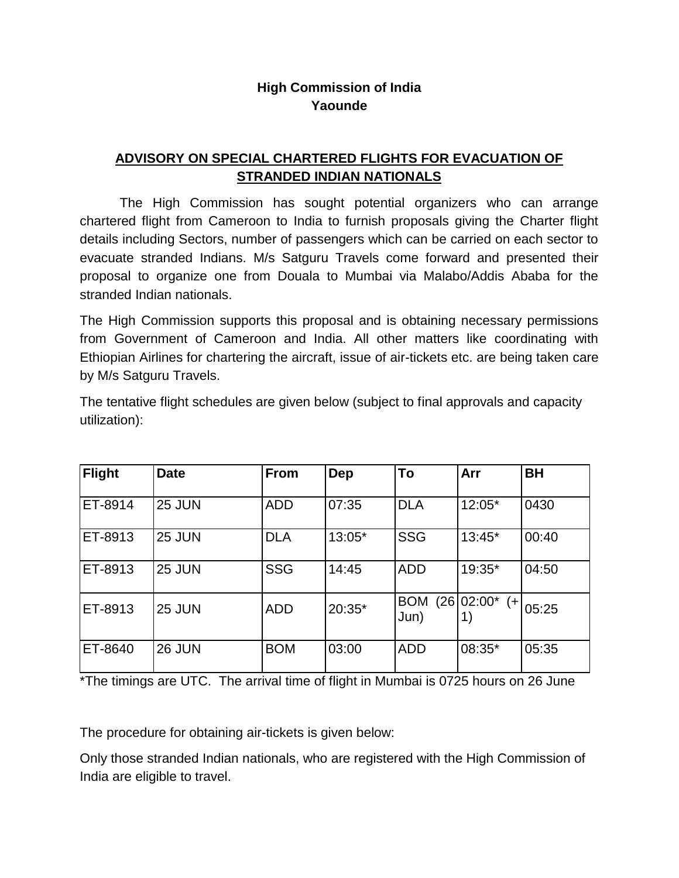## **High Commission of India Yaounde**

## **ADVISORY ON SPECIAL CHARTERED FLIGHTS FOR EVACUATION OF STRANDED INDIAN NATIONALS**

The High Commission has sought potential organizers who can arrange chartered flight from Cameroon to India to furnish proposals giving the Charter flight details including Sectors, number of passengers which can be carried on each sector to evacuate stranded Indians. M/s Satguru Travels come forward and presented their proposal to organize one from Douala to Mumbai via Malabo/Addis Ababa for the stranded Indian nationals.

The High Commission supports this proposal and is obtaining necessary permissions from Government of Cameroon and India. All other matters like coordinating with Ethiopian Airlines for chartering the aircraft, issue of air-tickets etc. are being taken care by M/s Satguru Travels.

| <b>Flight</b> | <b>Date</b> | From       | Dep      | To                 | Arr                  | <b>BH</b> |
|---------------|-------------|------------|----------|--------------------|----------------------|-----------|
| ET-8914       | 25 JUN      | <b>ADD</b> | 07:35    | <b>DLA</b>         | $12:05*$             | 0430      |
| ET-8913       | 25 JUN      | <b>DLA</b> | 13:05*   | <b>SSG</b>         | $13:45*$             | 00:40     |
| ET-8913       | 25 JUN      | <b>SSG</b> | 14:45    | <b>ADD</b>         | 19:35*               | 04:50     |
| ET-8913       | 25 JUN      | <b>ADD</b> | $20:35*$ | <b>BOM</b><br>Jun) | $(26 02:00*$<br>$(+$ | 05:25     |
| ET-8640       | 26 JUN      | <b>BOM</b> | 03:00    | <b>ADD</b>         | 08:35*               | 05:35     |

The tentative flight schedules are given below (subject to final approvals and capacity utilization):

\*The timings are UTC. The arrival time of flight in Mumbai is 0725 hours on 26 June

The procedure for obtaining air-tickets is given below:

Only those stranded Indian nationals, who are registered with the High Commission of India are eligible to travel.